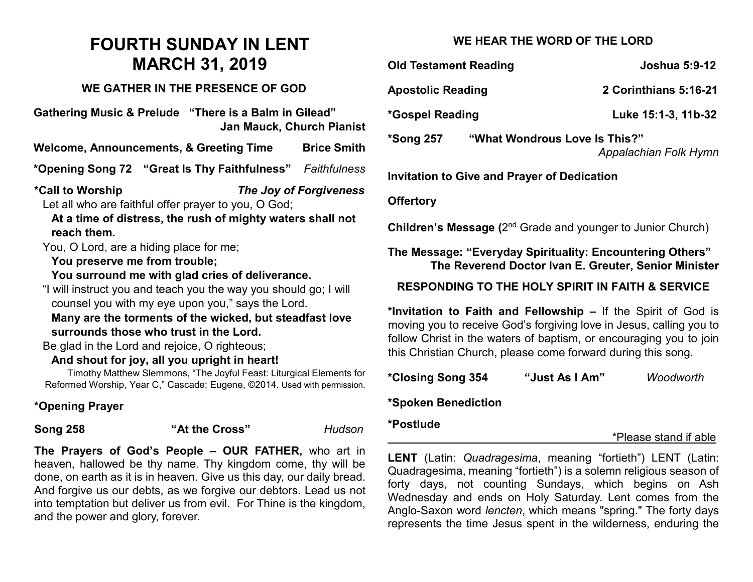# **FOURTH SUNDAY IN LENT MARCH 31, 2019**

### **WE GATHER IN THE PRESENCE OF GOD**

**Gathering Music & Prelude "There is a Balm in Gilead" Jan Mauck, Church Pianist**

**Welcome, Announcements, & Greeting Time Brice Smith**

**\*Opening Song 72 "Great Is Thy Faithfulness"** *Faithfulness*

**\*Call to Worship** *The Joy of Forgiveness* Let all who are faithful offer prayer to you, O God;

**At a time of distress, the rush of mighty waters shall not reach them.**

You, O Lord, are a hiding place for me;

#### **You preserve me from trouble;**

**You surround me with glad cries of deliverance.** 

"I will instruct you and teach you the way you should go; I will counsel you with my eye upon you," says the Lord.

**Many are the torments of the wicked, but steadfast love surrounds those who trust in the Lord.** 

Be glad in the Lord and rejoice, O righteous;

## **And shout for joy, all you upright in heart!**

Timothy Matthew Slemmons, "The Joyful Feast: Liturgical Elements for Reformed Worship, Year C," Cascade: Eugene, ©2014. Used with permission.

# **\*Opening Prayer**

**Song 258 "At the Cross"** *Hudson*

**The Prayers of God's People – OUR FATHER,** who art in heaven, hallowed be thy name. Thy kingdom come, thy will be done, on earth as it is in heaven. Give us this day, our daily bread. And forgive us our debts, as we forgive our debtors. Lead us not into temptation but deliver us from evil. For Thine is the kingdom, and the power and glory, forever.

# **WE HEAR THE WORD OF THE LORD**

**Old Testament Reading Community Community State State State State State State State State State State State State State State State State State State State State State State State State State State State State State State Apostolic Reading 2 Corinthians 5:16-21 \*Gospel Reading Luke 15:1-3, 11b-32 \*Song 257 "What Wondrous Love Is This?"** *Appalachian Folk Hymn* **Invitation to Give and Prayer of Dedication Offertory Children's Message (**2nd Grade and younger to Junior Church) **The Message: "Everyday Spirituality: Encountering Others" The Reverend Doctor Ivan E. Greuter, Senior Minister RESPONDING TO THE HOLY SPIRIT IN FAITH & SERVICE \*Invitation to Faith and Fellowship –** If the Spirit of God is moving you to receive God's forgiving love in Jesus, calling you to follow Christ in the waters of baptism, or encouraging you to join

**\*Closing Song 354 "Just As I Am"** *Woodworth*

this Christian Church, please come forward during this song.

## **\*Spoken Benediction**

#### **\*Postlude**

\*Please stand if able

**LENT** (Latin: *Quadragesima*, meaning "fortieth") LENT (Latin: Quadragesima, meaning "fortieth") is a solemn religious season of forty days, not counting Sundays, which begins on Ash Wednesday and ends on Holy Saturday. Lent comes from the Anglo-Saxon word *lencten*, which means "spring." The forty days represents the time Jesus spent in the wilderness, enduring the